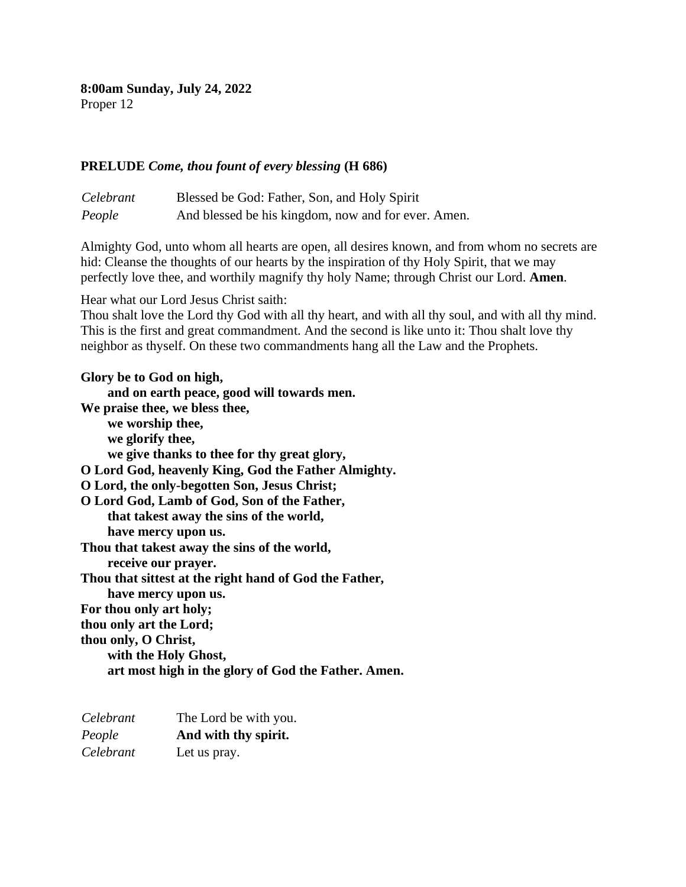**8:00am Sunday, July 24, 2022** Proper 12

### **PRELUDE** *Come, thou fount of every blessing* **(H 686)**

*Celebrant* Blessed be God: Father, Son, and Holy Spirit *People* And blessed be his kingdom, now and for ever. Amen.

Almighty God, unto whom all hearts are open, all desires known, and from whom no secrets are hid: Cleanse the thoughts of our hearts by the inspiration of thy Holy Spirit, that we may perfectly love thee, and worthily magnify thy holy Name; through Christ our Lord. **Amen***.*

Hear what our Lord Jesus Christ saith:

Thou shalt love the Lord thy God with all thy heart, and with all thy soul, and with all thy mind. This is the first and great commandment. And the second is like unto it: Thou shalt love thy neighbor as thyself. On these two commandments hang all the Law and the Prophets.

**Glory be to God on high, and on earth peace, good will towards men. We praise thee, we bless thee, we worship thee, we glorify thee, we give thanks to thee for thy great glory, O Lord God, heavenly King, God the Father Almighty. O Lord, the only-begotten Son, Jesus Christ; O Lord God, Lamb of God, Son of the Father, that takest away the sins of the world, have mercy upon us. Thou that takest away the sins of the world, receive our prayer. Thou that sittest at the right hand of God the Father, have mercy upon us. For thou only art holy; thou only art the Lord; thou only, O Christ, with the Holy Ghost, art most high in the glory of God the Father. Amen.**

| Celebrant | The Lord be with you. |
|-----------|-----------------------|
| People    | And with thy spirit.  |
| Celebrant | Let us pray.          |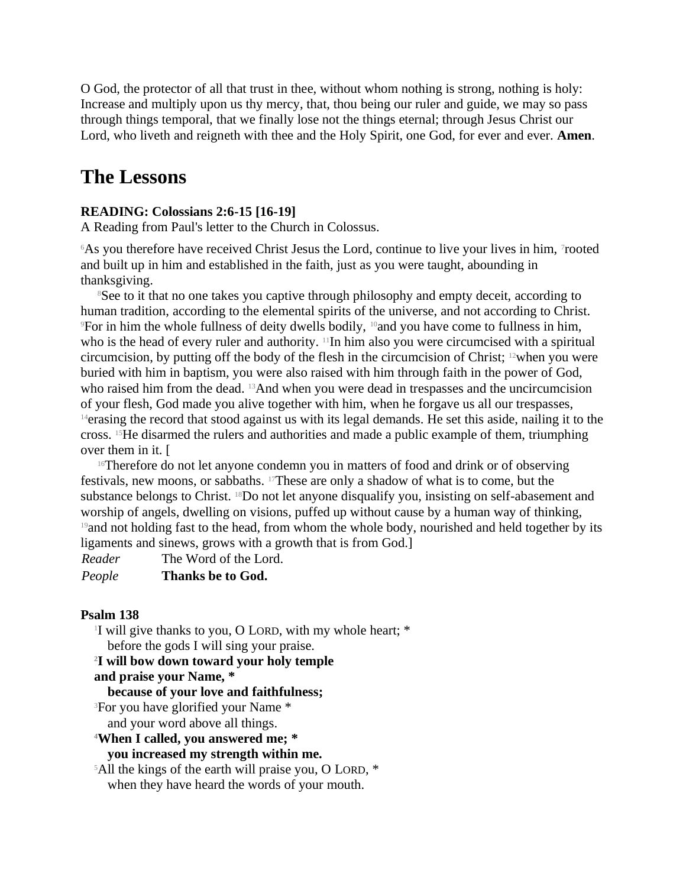O God, the protector of all that trust in thee, without whom nothing is strong, nothing is holy: Increase and multiply upon us thy mercy, that, thou being our ruler and guide, we may so pass through things temporal, that we finally lose not the things eternal; through Jesus Christ our Lord, who liveth and reigneth with thee and the Holy Spirit, one God, for ever and ever. **Amen**.

# **The Lessons**

## **READING: Colossians 2:6-15 [16-19]**

A Reading from Paul's letter to the Church in Colossus.

<sup>6</sup>As you therefore have received Christ Jesus the Lord, continue to live your lives in him, <sup>7</sup>rooted and built up in him and established in the faith, just as you were taught, abounding in thanksgiving.

<sup>8</sup>See to it that no one takes you captive through philosophy and empty deceit, according to human tradition, according to the elemental spirits of the universe, and not according to Christ. <sup>9</sup>For in him the whole fullness of deity dwells bodily, <sup>10</sup>and you have come to fullness in him, who is the head of every ruler and authority. <sup>11</sup>In him also you were circumcised with a spiritual circumcision, by putting off the body of the flesh in the circumcision of Christ; 12when you were buried with him in baptism, you were also raised with him through faith in the power of God, who raised him from the dead. <sup>13</sup>And when you were dead in trespasses and the uncircumcision of your flesh, God made you alive together with him, when he forgave us all our trespasses, <sup>14</sup>erasing the record that stood against us with its legal demands. He set this aside, nailing it to the cross. 15He disarmed the rulers and authorities and made a public example of them, triumphing over them in it. [

<sup>16</sup>Therefore do not let anyone condemn you in matters of food and drink or of observing festivals, new moons, or sabbaths. 17These are only a shadow of what is to come, but the substance belongs to Christ. 18Do not let anyone disqualify you, insisting on self-abasement and worship of angels, dwelling on visions, puffed up without cause by a human way of thinking, <sup>19</sup> and not holding fast to the head, from whom the whole body, nourished and held together by its ligaments and sinews, grows with a growth that is from God.]

| Reader | The Word of the Lord. |
|--------|-----------------------|
| People | Thanks be to God.     |

## **Psalm 138**

1 I will give thanks to you, O LORD, with my whole heart; \* before the gods I will sing your praise. **<sup>2</sup>I will bow down toward your holy temple and praise your Name, \* because of your love and faithfulness;** <sup>3</sup>For you have glorified your Name \* and your word above all things. **<sup>4</sup>When I called, you answered me; \* you increased my strength within me.** <sup>5</sup>All the kings of the earth will praise you, O LORD,  $*$ 

when they have heard the words of your mouth.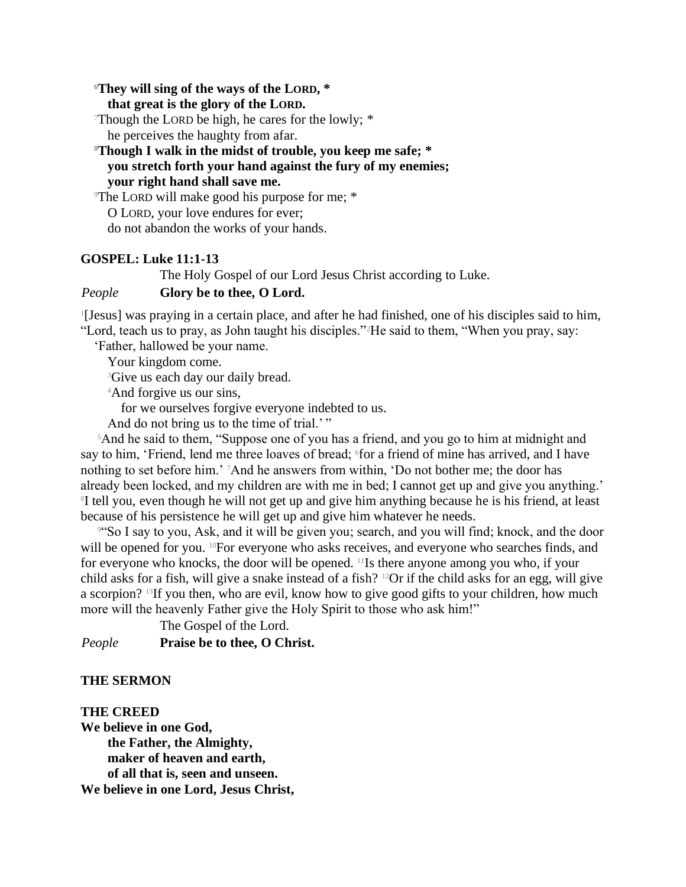**<sup>6</sup>They will sing of the ways of the LORD, \* that great is the glory of the LORD.**

<sup>7</sup>Though the LORD be high, he cares for the lowly; \*

he perceives the haughty from afar.

**<sup>8</sup>Though I walk in the midst of trouble, you keep me safe; \* you stretch forth your hand against the fury of my enemies; your right hand shall save me.**

<sup>9</sup>The LORD will make good his purpose for me; \* O LORD, your love endures for ever;

do not abandon the works of your hands.

## **GOSPEL: Luke 11:1-13**

The Holy Gospel of our Lord Jesus Christ according to Luke.

## *People* **Glory be to thee, O Lord.**

1 [Jesus] was praying in a certain place, and after he had finished, one of his disciples said to him, "Lord, teach us to pray, as John taught his disciples."2He said to them, "When you pray, say:

'Father, hallowed be your name.

Your kingdom come.

<sup>3</sup>Give us each day our daily bread.

<sup>4</sup>And forgive us our sins,

for we ourselves forgive everyone indebted to us.

And do not bring us to the time of trial.'"

<sup>5</sup>And he said to them, "Suppose one of you has a friend, and you go to him at midnight and say to him, 'Friend, lend me three loaves of bread; 'for a friend of mine has arrived, and I have nothing to set before him.' 7And he answers from within, 'Do not bother me; the door has already been locked, and my children are with me in bed; I cannot get up and give you anything.' 8 I tell you, even though he will not get up and give him anything because he is his friend, at least because of his persistence he will get up and give him whatever he needs.

<sup>9</sup>"So I say to you, Ask, and it will be given you; search, and you will find; knock, and the door will be opened for you. <sup>10</sup>For everyone who asks receives, and everyone who searches finds, and for everyone who knocks, the door will be opened. 11Is there anyone among you who, if your child asks for a fish, will give a snake instead of a fish? 12Or if the child asks for an egg, will give a scorpion? <sup>13</sup>If you then, who are evil, know how to give good gifts to your children, how much more will the heavenly Father give the Holy Spirit to those who ask him!"

The Gospel of the Lord. *People* **Praise be to thee, O Christ.**

## **THE SERMON**

**THE CREED We believe in one God, the Father, the Almighty, maker of heaven and earth, of all that is, seen and unseen. We believe in one Lord, Jesus Christ,**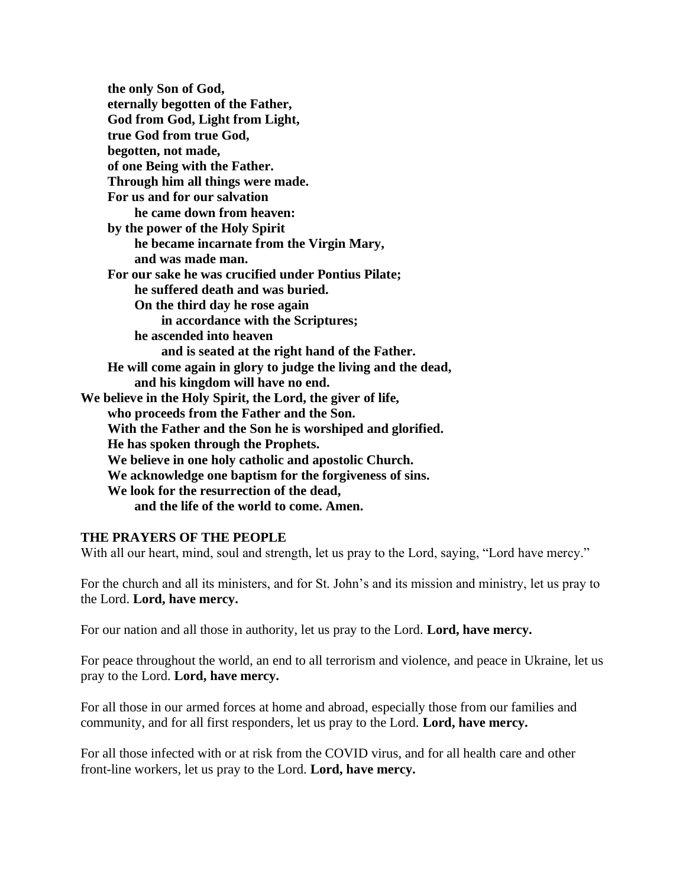**the only Son of God, eternally begotten of the Father, God from God, Light from Light, true God from true God, begotten, not made, of one Being with the Father. Through him all things were made. For us and for our salvation he came down from heaven: by the power of the Holy Spirit he became incarnate from the Virgin Mary, and was made man. For our sake he was crucified under Pontius Pilate; he suffered death and was buried. On the third day he rose again in accordance with the Scriptures; he ascended into heaven and is seated at the right hand of the Father. He will come again in glory to judge the living and the dead, and his kingdom will have no end. We believe in the Holy Spirit, the Lord, the giver of life, who proceeds from the Father and the Son. With the Father and the Son he is worshiped and glorified. He has spoken through the Prophets. We believe in one holy catholic and apostolic Church. We acknowledge one baptism for the forgiveness of sins. We look for the resurrection of the dead, and the life of the world to come. Amen.**

## **THE PRAYERS OF THE PEOPLE**

With all our heart, mind, soul and strength, let us pray to the Lord, saying, "Lord have mercy."

For the church and all its ministers, and for St. John's and its mission and ministry, let us pray to the Lord. **Lord, have mercy.**

For our nation and all those in authority, let us pray to the Lord. **Lord, have mercy.**

For peace throughout the world, an end to all terrorism and violence, and peace in Ukraine, let us pray to the Lord. **Lord, have mercy.**

For all those in our armed forces at home and abroad, especially those from our families and community, and for all first responders, let us pray to the Lord. **Lord, have mercy.**

For all those infected with or at risk from the COVID virus, and for all health care and other front-line workers, let us pray to the Lord. **Lord, have mercy.**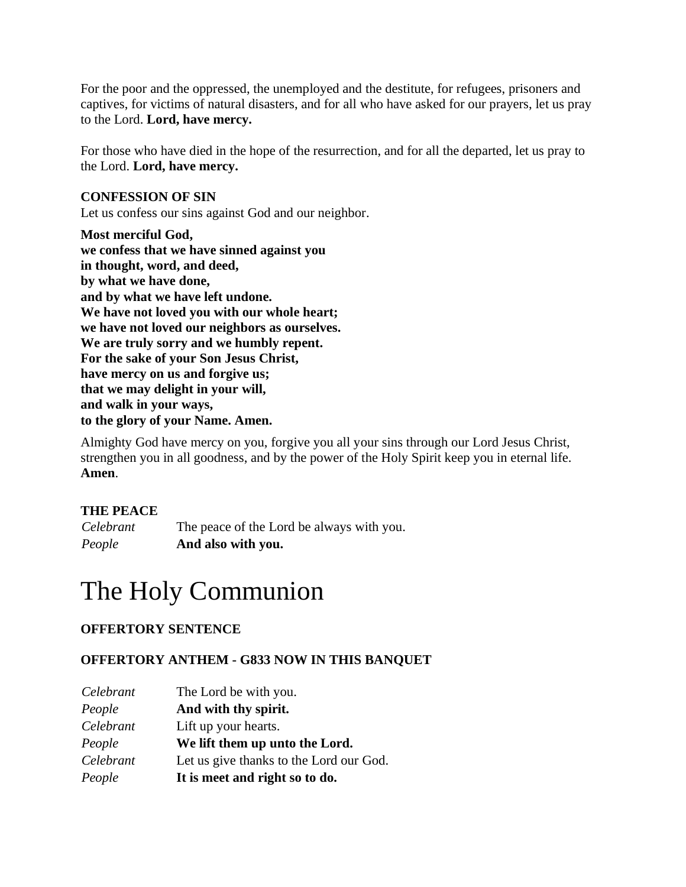For the poor and the oppressed, the unemployed and the destitute, for refugees, prisoners and captives, for victims of natural disasters, and for all who have asked for our prayers, let us pray to the Lord. **Lord, have mercy.**

For those who have died in the hope of the resurrection, and for all the departed, let us pray to the Lord. **Lord, have mercy.**

# **CONFESSION OF SIN**

Let us confess our sins against God and our neighbor.

**Most merciful God, we confess that we have sinned against you in thought, word, and deed, by what we have done, and by what we have left undone. We have not loved you with our whole heart; we have not loved our neighbors as ourselves. We are truly sorry and we humbly repent. For the sake of your Son Jesus Christ, have mercy on us and forgive us; that we may delight in your will, and walk in your ways, to the glory of your Name. Amen.**

Almighty God have mercy on you, forgive you all your sins through our Lord Jesus Christ, strengthen you in all goodness, and by the power of the Holy Spirit keep you in eternal life. **Amen**.

# **THE PEACE**

*Celebrant* The peace of the Lord be always with you. *People* **And also with you.**

# The Holy Communion

# **OFFERTORY SENTENCE**

# **OFFERTORY ANTHEM - G833 NOW IN THIS BANQUET**

| Celebrant | The Lord be with you.                   |
|-----------|-----------------------------------------|
| People    | And with thy spirit.                    |
| Celebrant | Lift up your hearts.                    |
| People    | We lift them up unto the Lord.          |
| Celebrant | Let us give thanks to the Lord our God. |
| People    | It is meet and right so to do.          |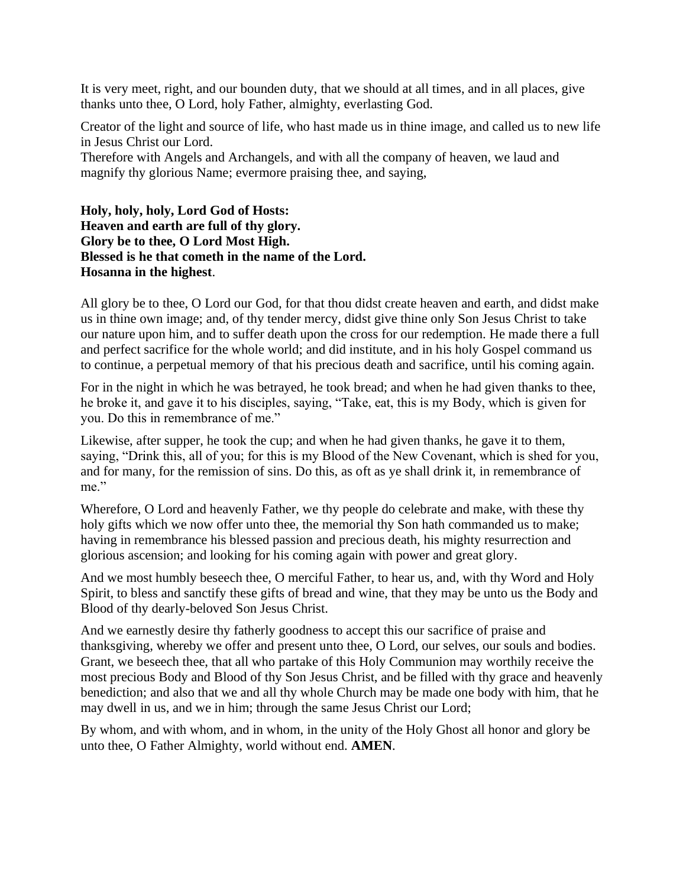It is very meet, right, and our bounden duty, that we should at all times, and in all places, give thanks unto thee, O Lord, holy Father, almighty, everlasting God.

Creator of the light and source of life, who hast made us in thine image, and called us to new life in Jesus Christ our Lord.

Therefore with Angels and Archangels, and with all the company of heaven, we laud and magnify thy glorious Name; evermore praising thee, and saying,

**Holy, holy, holy, Lord God of Hosts: Heaven and earth are full of thy glory. Glory be to thee, O Lord Most High. Blessed is he that cometh in the name of the Lord. Hosanna in the highest**.

All glory be to thee, O Lord our God, for that thou didst create heaven and earth, and didst make us in thine own image; and, of thy tender mercy, didst give thine only Son Jesus Christ to take our nature upon him, and to suffer death upon the cross for our redemption. He made there a full and perfect sacrifice for the whole world; and did institute, and in his holy Gospel command us to continue, a perpetual memory of that his precious death and sacrifice, until his coming again.

For in the night in which he was betrayed, he took bread; and when he had given thanks to thee, he broke it, and gave it to his disciples, saying, "Take, eat, this is my Body, which is given for you. Do this in remembrance of me."

Likewise, after supper, he took the cup; and when he had given thanks, he gave it to them, saying, "Drink this, all of you; for this is my Blood of the New Covenant, which is shed for you, and for many, for the remission of sins. Do this, as oft as ye shall drink it, in remembrance of me."

Wherefore, O Lord and heavenly Father, we thy people do celebrate and make, with these thy holy gifts which we now offer unto thee, the memorial thy Son hath commanded us to make; having in remembrance his blessed passion and precious death, his mighty resurrection and glorious ascension; and looking for his coming again with power and great glory.

And we most humbly beseech thee, O merciful Father, to hear us, and, with thy Word and Holy Spirit, to bless and sanctify these gifts of bread and wine, that they may be unto us the Body and Blood of thy dearly-beloved Son Jesus Christ.

And we earnestly desire thy fatherly goodness to accept this our sacrifice of praise and thanksgiving, whereby we offer and present unto thee, O Lord, our selves, our souls and bodies. Grant, we beseech thee, that all who partake of this Holy Communion may worthily receive the most precious Body and Blood of thy Son Jesus Christ, and be filled with thy grace and heavenly benediction; and also that we and all thy whole Church may be made one body with him, that he may dwell in us, and we in him; through the same Jesus Christ our Lord;

By whom, and with whom, and in whom, in the unity of the Holy Ghost all honor and glory be unto thee, O Father Almighty, world without end. **AMEN***.*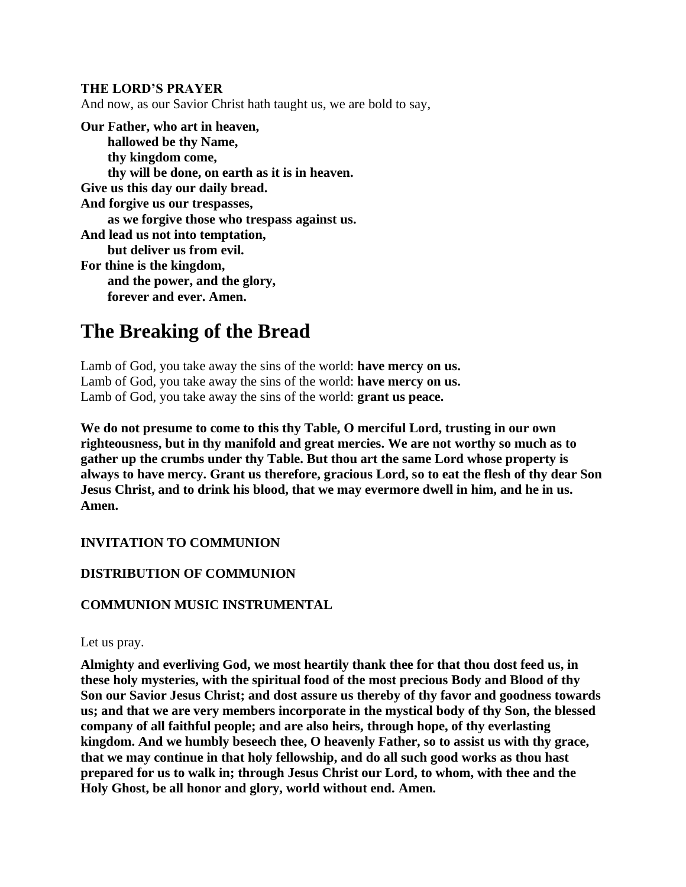### **THE LORD'S PRAYER**

And now, as our Savior Christ hath taught us, we are bold to say,

**Our Father, who art in heaven, hallowed be thy Name, thy kingdom come, thy will be done, on earth as it is in heaven. Give us this day our daily bread. And forgive us our trespasses, as we forgive those who trespass against us. And lead us not into temptation, but deliver us from evil. For thine is the kingdom, and the power, and the glory, forever and ever. Amen.**

# **The Breaking of the Bread**

Lamb of God, you take away the sins of the world: **have mercy on us.** Lamb of God, you take away the sins of the world: **have mercy on us.** Lamb of God, you take away the sins of the world: **grant us peace.**

**We do not presume to come to this thy Table, O merciful Lord, trusting in our own righteousness, but in thy manifold and great mercies. We are not worthy so much as to gather up the crumbs under thy Table. But thou art the same Lord whose property is always to have mercy. Grant us therefore, gracious Lord, so to eat the flesh of thy dear Son Jesus Christ, and to drink his blood, that we may evermore dwell in him, and he in us. Amen.**

**INVITATION TO COMMUNION**

## **DISTRIBUTION OF COMMUNION**

#### **COMMUNION MUSIC INSTRUMENTAL**

Let us pray.

**Almighty and everliving God, we most heartily thank thee for that thou dost feed us, in these holy mysteries, with the spiritual food of the most precious Body and Blood of thy Son our Savior Jesus Christ; and dost assure us thereby of thy favor and goodness towards us; and that we are very members incorporate in the mystical body of thy Son, the blessed company of all faithful people; and are also heirs, through hope, of thy everlasting kingdom. And we humbly beseech thee, O heavenly Father, so to assist us with thy grace, that we may continue in that holy fellowship, and do all such good works as thou hast prepared for us to walk in; through Jesus Christ our Lord, to whom, with thee and the Holy Ghost, be all honor and glory, world without end. Amen***.*